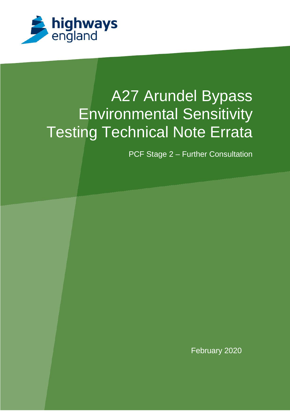

# A27 Arundel Bypass Environmental Sensitivity Testing Technical Note Errata

PCF Stage 2 – Further Consultation

February 2020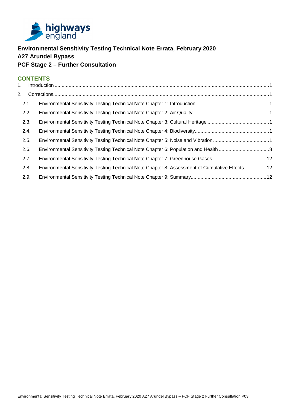

## **Environmental Sensitivity Testing Technical Note Errata, February 2020 A27 Arundel Bypass PCF Stage 2 – Further Consultation**

## **CONTENTS**

| 2. |      |                                                                                                |  |
|----|------|------------------------------------------------------------------------------------------------|--|
|    | 2.1. |                                                                                                |  |
|    | 2.2. |                                                                                                |  |
|    | 2.3. |                                                                                                |  |
|    | 2.4. |                                                                                                |  |
|    | 2.5. | Environmental Sensitivity Testing Technical Note Chapter 5: Noise and Vibration 1              |  |
|    | 2.6. |                                                                                                |  |
|    | 2.7. | Environmental Sensitivity Testing Technical Note Chapter 7: Greenhouse Gases 12                |  |
|    | 2.8. | Environmental Sensitivity Testing Technical Note Chapter 8: Assessment of Cumulative Effects12 |  |
|    | 2.9. |                                                                                                |  |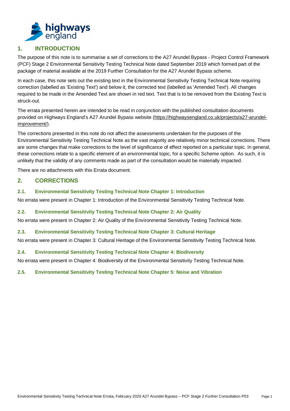<span id="page-2-0"></span>

## <span id="page-2-7"></span>**1. INTRODUCTION**

The purpose of this note is to summarise a set of corrections to the A27 Arundel Bypass - Project Control Framework (PCF) Stage 2 Environmental Sensitivity Testing Technical Note dated September 2019 which formed part of the package of material available at the 2019 Further Consultation for the A27 Arundel Bypass scheme.

In each case, this note sets out the existing text in the Environmental Sensitivity Testing Technical Note requiring correction (labelled as 'Existing Text') and below it, the corrected text (labelled as 'Amended Text'). All changes required to be made in the Amended Text are shown in red text. Text that is to be removed from the Existing Text is struck-out.

The errata presented herein are intended to be read in conjunction with the published consultation documents provided on Highways England's A27 Arundel Bypass website [\(https://highwaysengland.co.uk/projects/a27-arundel](https://highwaysengland.co.uk/projects/a27-arundel-improvement/)[improvement/\)](https://highwaysengland.co.uk/projects/a27-arundel-improvement/).

The corrections presented in this note do not affect the assessments undertaken for the purposes of the Environmental Sensitivity Testing Technical Note as the vast majority are relatively minor technical corrections. There are some changes that make corrections to the level of significance of effect reported on a particular topic. In general, these corrections relate to a specific element of an environmental topic, for a specific Scheme option. As such, it is unlikely that the validity of any comments made as part of the consultation would be materially impacted.

There are no attachments with this Errata document.

## <span id="page-2-1"></span>**2. CORRECTIONS**

<span id="page-2-2"></span>**2.1. Environmental Sensitivity Testing Technical Note Chapter 1: Introduction**

No errata were present in Chapter 1: Introduction of the Environmental Sensitivity Testing Technical Note.

#### <span id="page-2-3"></span>**2.2. Environmental Sensitivity Testing Technical Note Chapter 2: Air Quality**

No errata were present in Chapter 2: Air Quality of the Environmental Sensitivity Testing Technical Note.

#### <span id="page-2-4"></span>**2.3. Environmental Sensitivity Testing Technical Note Chapter 3: Cultural Heritage**

No errata were present in Chapter 3: Cultural Heritage of the Environmental Sensitivity Testing Technical Note.

#### <span id="page-2-5"></span>**2.4. Environmental Sensitivity Testing Technical Note Chapter 4: Biodiversity**

No errata were present in Chapter 4: Biodiversity of the Environmental Sensitivity Testing Technical Note.

#### <span id="page-2-6"></span>**2.5. Environmental Sensitivity Testing Technical Note Chapter 5: Noise and Vibration**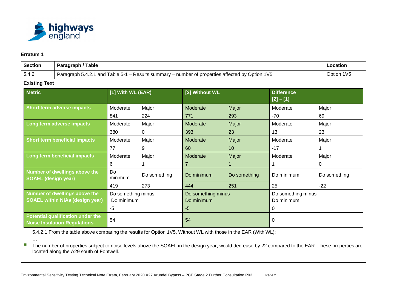

| <b>Section</b><br>Paragraph / Table                                     |                                                                          |                                          |                                                                                                 |                                                 |                       |                                                 | Location              |
|-------------------------------------------------------------------------|--------------------------------------------------------------------------|------------------------------------------|-------------------------------------------------------------------------------------------------|-------------------------------------------------|-----------------------|-------------------------------------------------|-----------------------|
| 5.4.2                                                                   |                                                                          |                                          | Paragraph 5.4.2.1 and Table 5-1 - Results summary - number of properties affected by Option 1V5 |                                                 |                       |                                                 |                       |
| <b>Existing Text</b>                                                    |                                                                          |                                          |                                                                                                 |                                                 |                       |                                                 |                       |
| <b>Metric</b>                                                           |                                                                          | [1] With WL (EAR)                        |                                                                                                 | [2] Without WL                                  |                       | <b>Difference</b><br>$[2] - [1]$                |                       |
|                                                                         | Short term adverse impacts                                               | Moderate<br>841                          | Major<br>224                                                                                    | Moderate<br>771                                 | Major<br>293          | Moderate<br>$-70$                               | Major<br>69           |
|                                                                         | Long term adverse impacts                                                |                                          | Major<br>$\Omega$                                                                               | Moderate<br>393                                 | Major<br>23           | Moderate<br>13                                  | Major<br>23           |
|                                                                         | <b>Short term beneficial impacts</b>                                     | Moderate<br>77                           | Major<br>9                                                                                      | Moderate<br>60                                  | Major<br>10           | Moderate<br>$-17$                               | Major                 |
|                                                                         | Long term beneficial impacts                                             | Moderate<br>6                            | Major                                                                                           | Moderate<br>$\overline{7}$                      | Major<br>$\mathbf{1}$ | Moderate                                        | Major<br>0            |
| Number of dwellings above the<br><b>SOAEL (design year)</b>             |                                                                          | Do<br>minimum<br>419                     | Do something<br>273                                                                             | Do minimum                                      | Do something<br>251   | Do minimum<br>25                                | Do something<br>$-22$ |
| Number of dwellings above the<br><b>SOAEL within NIAs (design year)</b> |                                                                          | Do something minus<br>Do minimum<br>$-5$ |                                                                                                 | 444<br>Do something minus<br>Do minimum<br>$-5$ |                       | Do something minus<br>Do minimum<br>$\mathbf 0$ |                       |
|                                                                         | Potential qualification under the<br><b>Noise Insulation Regulations</b> | 54                                       |                                                                                                 | 54                                              |                       | 0                                               |                       |

5.4.2.1 From the table above comparing the results for Option 1V5, Without WL with those in the EAR (With WL):

…

■ The number of properties subject to noise levels above the SOAEL in the design year, would decrease by 22 compared to the EAR. These properties are located along the A29 south of Fontwell.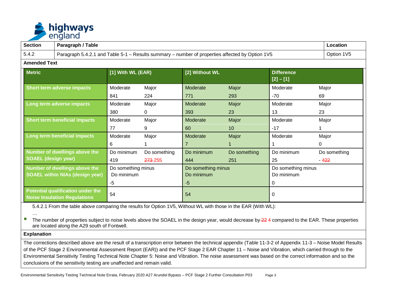

| <b>Section</b>                                                          | Paragraph / Table                                                        |                                  |                                                                                                 |                                  |              |                                  | Location     |  |
|-------------------------------------------------------------------------|--------------------------------------------------------------------------|----------------------------------|-------------------------------------------------------------------------------------------------|----------------------------------|--------------|----------------------------------|--------------|--|
| 5.4.2                                                                   |                                                                          |                                  | Paragraph 5.4.2.1 and Table 5-1 - Results summary - number of properties affected by Option 1V5 |                                  |              |                                  |              |  |
| <b>Amended Text</b>                                                     |                                                                          |                                  |                                                                                                 |                                  |              |                                  |              |  |
| <b>Metric</b>                                                           |                                                                          | [1] With WL (EAR)                |                                                                                                 | [2] Without WL                   |              | <b>Difference</b><br>$[2] - [1]$ |              |  |
| <b>Short term adverse impacts</b>                                       |                                                                          | Moderate                         | Major                                                                                           | Moderate                         | Major        | Moderate                         | Major        |  |
|                                                                         |                                                                          | 841                              | 224                                                                                             | 771                              | 293          | -70                              | 69           |  |
| Long term adverse impacts                                               |                                                                          | Moderate                         | Major                                                                                           | Moderate                         | Major        | Moderate                         | Major        |  |
|                                                                         |                                                                          | 380                              | 0                                                                                               | 393                              | 23           | 13                               | 23           |  |
| <b>Short term beneficial impacts</b>                                    |                                                                          | Moderate                         | Major                                                                                           | Moderate                         | Major        | Moderate                         | Major        |  |
|                                                                         |                                                                          | 77                               | 9                                                                                               | 60                               | 10           | $-17$                            |              |  |
| Long term beneficial impacts                                            |                                                                          | Moderate                         | Major                                                                                           | Moderate                         | Major        | Moderate                         | Major        |  |
|                                                                         |                                                                          | 6                                |                                                                                                 | $\overline{7}$                   |              |                                  | $\Omega$     |  |
|                                                                         | <b>Number of dwellings above the</b>                                     | Do minimum                       | Do something                                                                                    | Do minimum                       | Do something | Do minimum                       | Do something |  |
| <b>SOAEL (design year)</b>                                              |                                                                          | 419                              | 273-255                                                                                         | 444                              | 251          | 25                               | $-422$       |  |
| Number of dwellings above the<br><b>SOAEL within NIAs (design year)</b> |                                                                          | Do something minus<br>Do minimum |                                                                                                 | Do something minus<br>Do minimum |              | Do something minus<br>Do minimum |              |  |
|                                                                         |                                                                          | $-5$                             |                                                                                                 | $-5$                             |              | 0                                |              |  |
|                                                                         | Potential qualification under the<br><b>Noise Insulation Regulations</b> | 54                               |                                                                                                 | 54                               |              |                                  | 0            |  |

5.4.2.1 From the table above comparing the results for Option 1V5, Without WL with those in the EAR (With WL):

…

■ The number of properties subject to noise levels above the SOAEL in the design year, would decrease by 22 4 compared to the EAR. These properties are located along the A29 south of Fontwell.

#### **Explanation**

The corrections described above are the result of a transcription error between the technical appendix (Table 11-3-2 of Appendix 11-3 – Noise Model Results of the PCF Stage 2 Environmental Assessment Report (EAR)) and the PCF Stage 2 EAR Chapter 11 – Noise and Vibration, which carried through to the Environmental Sensitivity Testing Technical Note Chapter 5: Noise and Vibration. The noise assessment was based on the correct information and so the conclusions of the sensitivity testing are unaffected and remain valid.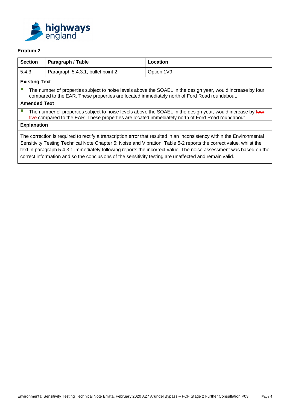

| <b>Section</b>                                                                                                                                                                                                                                                                                                                                                     | Paragraph / Table                                                                                                                                                                                                | Location                                                                                                    |  |  |  |  |
|--------------------------------------------------------------------------------------------------------------------------------------------------------------------------------------------------------------------------------------------------------------------------------------------------------------------------------------------------------------------|------------------------------------------------------------------------------------------------------------------------------------------------------------------------------------------------------------------|-------------------------------------------------------------------------------------------------------------|--|--|--|--|
| 5.4.3                                                                                                                                                                                                                                                                                                                                                              | Paragraph 5.4.3.1, bullet point 2                                                                                                                                                                                | Option 1V9                                                                                                  |  |  |  |  |
| <b>Existing Text</b>                                                                                                                                                                                                                                                                                                                                               |                                                                                                                                                                                                                  |                                                                                                             |  |  |  |  |
|                                                                                                                                                                                                                                                                                                                                                                    | compared to the EAR. These properties are located immediately north of Ford Road roundabout.                                                                                                                     | The number of properties subject to noise levels above the SOAEL in the design year, would increase by four |  |  |  |  |
| <b>Amended Text</b>                                                                                                                                                                                                                                                                                                                                                |                                                                                                                                                                                                                  |                                                                                                             |  |  |  |  |
|                                                                                                                                                                                                                                                                                                                                                                    | The number of properties subject to noise levels above the SOAEL in the design year, would increase by four<br>five compared to the EAR. These properties are located immediately north of Ford Road roundabout. |                                                                                                             |  |  |  |  |
| <b>Explanation</b>                                                                                                                                                                                                                                                                                                                                                 |                                                                                                                                                                                                                  |                                                                                                             |  |  |  |  |
| The correction is required to rectify a transcription error that resulted in an inconsistency within the Environmental<br>Sensitivity Testing Technical Note Chapter 5: Noise and Vibration. Table 5-2 reports the correct value, whilst the<br>text in paragraph 5.4.3.1 immediately following reports the incorrect value. The noise assessment was based on the |                                                                                                                                                                                                                  |                                                                                                             |  |  |  |  |

correct information and so the conclusions of the sensitivity testing are unaffected and remain valid.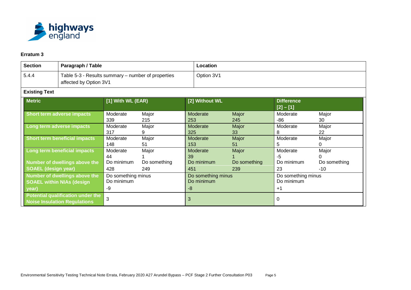

| <b>Section</b><br>Paragraph / Table                                                   |                                                                          |                                        |                     | Location                                 |                     |                                          |                       |  |
|---------------------------------------------------------------------------------------|--------------------------------------------------------------------------|----------------------------------------|---------------------|------------------------------------------|---------------------|------------------------------------------|-----------------------|--|
| Table 5-3 - Results summary – number of properties<br>5.4.4<br>affected by Option 3V1 |                                                                          |                                        |                     | Option 3V1                               |                     |                                          |                       |  |
| <b>Existing Text</b>                                                                  |                                                                          |                                        |                     |                                          |                     |                                          |                       |  |
| <b>Metric</b>                                                                         |                                                                          | [1] With WL (EAR)                      |                     | [2] Without WL                           |                     | <b>Difference</b><br>$[2] - [1]$         |                       |  |
| Short term adverse impacts                                                            |                                                                          | Moderate<br>339                        | Major<br>215        | Moderate<br>253                          | Major<br>245        | Moderate<br>-86                          | Major<br>30           |  |
| Long term adverse impacts                                                             |                                                                          | Moderate<br>317                        | Major<br>9          | Moderate<br>325                          | Major<br>33         | Moderate<br>8                            | Major<br>22           |  |
| <b>Short term beneficial impacts</b>                                                  |                                                                          | Moderate<br>148                        | Major<br>51         | Moderate<br>153                          | Major<br>51         | Moderate<br>5                            | Major<br>0.           |  |
| Long term beneficial impacts                                                          |                                                                          | Moderate<br>44                         | Major               | Moderate<br>39                           | Major               | Moderate<br>$-5$                         | Major<br>0            |  |
| <b>Number of dwellings above the</b><br><b>SOAEL (design year)</b>                    |                                                                          | Do minimum<br>428                      | Do something<br>249 | Do minimum<br>451                        | Do something<br>239 | Do minimum<br>23                         | Do something<br>$-10$ |  |
| Number of dwellings above the<br><b>SOAEL within NIAs (design</b><br>year)            |                                                                          | Do something minus<br>Do minimum<br>-9 |                     | Do something minus<br>Do minimum<br>$-8$ |                     | Do something minus<br>Do minimum<br>$+1$ |                       |  |
|                                                                                       | Potential qualification under the<br><b>Noise Insulation Regulations</b> | 3                                      |                     | 3                                        |                     | 0                                        |                       |  |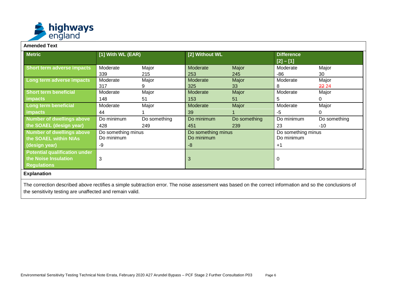

#### **Amended Text**

| <b>Metric</b>                                   | [1] With WL (EAR) |                    | [2] Without WL |                    | <b>Difference</b><br>$[2] - [1]$ |              |
|-------------------------------------------------|-------------------|--------------------|----------------|--------------------|----------------------------------|--------------|
| Short term adverse impacts                      | Moderate          | Major              | Moderate       | Major              | Moderate                         | Major        |
|                                                 | 339               | 215                | 253            | 245                | -86                              | 30           |
| Long term adverse impacts                       | Moderate          | Major              | Moderate       | Major              | Moderate                         | Major        |
|                                                 | 317               | 9                  | 325            | 33                 | 8                                | 22 24        |
| <b>Short term beneficial</b>                    | Moderate          | Major              | Moderate       | Major              | Moderate                         | Major        |
| <b>impacts</b>                                  | 148               | 51                 | 153            | 51                 | 5                                | 0            |
| Long term beneficial                            | Moderate          | Major              | Moderate       | Major              | Moderate                         | Major        |
| <i>impacts</i>                                  | 44                |                    | 39             |                    | -5                               | 0            |
| Number of dwellings above                       | Do minimum        | Do something       | Do minimum     | Do something       | Do minimum                       | Do something |
| the SOAEL (design year)                         | 428               | 249                | 451            | 239                | 23                               | $-10$        |
| Number of dwellings above<br>Do something minus |                   | Do something minus |                | Do something minus |                                  |              |
| the SOAEL within NIAs                           | Do minimum        |                    | Do minimum     |                    | Do minimum                       |              |
| -9<br>(design year)                             |                   | -8                 |                | $+1$               |                                  |              |
| <b>Potential qualification under</b>            |                   |                    |                |                    |                                  |              |
| the Noise Insulation<br>3                       |                   | 3                  |                | 0                  |                                  |              |
| <b>Regulations</b>                              |                   |                    |                |                    |                                  |              |

The correction described above rectifies a simple subtraction error. The noise assessment was based on the correct information and so the conclusions of the sensitivity testing are unaffected and remain valid.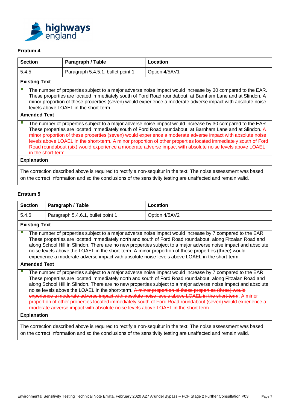

| <b>Section</b> |                                                                                                                                                                                                                                                                                                                                                                                                                                                                                                                                                                                           | Paragraph / Table                 | Location      |  |  |  |  |
|----------------|-------------------------------------------------------------------------------------------------------------------------------------------------------------------------------------------------------------------------------------------------------------------------------------------------------------------------------------------------------------------------------------------------------------------------------------------------------------------------------------------------------------------------------------------------------------------------------------------|-----------------------------------|---------------|--|--|--|--|
| 5.4.5          |                                                                                                                                                                                                                                                                                                                                                                                                                                                                                                                                                                                           | Paragraph 5.4.5.1, bullet point 1 | Option 4/5AV1 |  |  |  |  |
|                | <b>Existing Text</b>                                                                                                                                                                                                                                                                                                                                                                                                                                                                                                                                                                      |                                   |               |  |  |  |  |
|                | The number of properties subject to a major adverse noise impact would increase by 30 compared to the EAR.<br>These properties are located immediately south of Ford Road roundabout, at Barnham Lane and at Slindon. A<br>minor proportion of these properties (seven) would experience a moderate adverse impact with absolute noise<br>levels above LOAEL in the short-term.                                                                                                                                                                                                           |                                   |               |  |  |  |  |
|                | <b>Amended Text</b>                                                                                                                                                                                                                                                                                                                                                                                                                                                                                                                                                                       |                                   |               |  |  |  |  |
|                | The number of properties subject to a major adverse noise impact would increase by 30 compared to the EAR.<br>These properties are located immediately south of Ford Road roundabout, at Barnham Lane and at Slindon. A<br>minor proportion of these properties (seven) would experience a moderate adverse impact with absolute noise<br>levels above LOAEL in the short-term. A minor proportion of other properties located immediately south of Ford<br>Road roundabout (six) would experience a moderate adverse impact with absolute noise levels above LOAEL<br>in the short-term. |                                   |               |  |  |  |  |
|                | <b>Explanation</b>                                                                                                                                                                                                                                                                                                                                                                                                                                                                                                                                                                        |                                   |               |  |  |  |  |
|                | The correction described above is required to rectify a non-sequitur in the text. The noise assessment was based<br>on the correct information and so the conclusions of the sensitivity testing are unaffected and remain valid.                                                                                                                                                                                                                                                                                                                                                         |                                   |               |  |  |  |  |

| <b>Section</b>                                                                                                                                                                                                                    | Paragraph / Table                                                                                                                                                                                                                                                                                                                                                                                                                                                                                                                                                                                                                                                                                                                                              | Location      |  |  |  |  |  |
|-----------------------------------------------------------------------------------------------------------------------------------------------------------------------------------------------------------------------------------|----------------------------------------------------------------------------------------------------------------------------------------------------------------------------------------------------------------------------------------------------------------------------------------------------------------------------------------------------------------------------------------------------------------------------------------------------------------------------------------------------------------------------------------------------------------------------------------------------------------------------------------------------------------------------------------------------------------------------------------------------------------|---------------|--|--|--|--|--|
| 5.4.6                                                                                                                                                                                                                             | Paragraph 5.4.6.1, bullet point 1                                                                                                                                                                                                                                                                                                                                                                                                                                                                                                                                                                                                                                                                                                                              | Option 4/5AV2 |  |  |  |  |  |
| <b>Existing Text</b>                                                                                                                                                                                                              |                                                                                                                                                                                                                                                                                                                                                                                                                                                                                                                                                                                                                                                                                                                                                                |               |  |  |  |  |  |
| <b>Amended Text</b>                                                                                                                                                                                                               | The number of properties subject to a major adverse noise impact would increase by 7 compared to the EAR.<br>These properties are located immediately north and south of Ford Road roundabout, along Fitzalan Road and<br>along School Hill in Slindon. There are no new properties subject to a major adverse noise impact and absolute<br>noise levels above the LOAEL in the short-term. A minor proportion of these properties (three) would<br>experience a moderate adverse impact with absolute noise levels above LOAEL in the short-term.                                                                                                                                                                                                             |               |  |  |  |  |  |
|                                                                                                                                                                                                                                   |                                                                                                                                                                                                                                                                                                                                                                                                                                                                                                                                                                                                                                                                                                                                                                |               |  |  |  |  |  |
|                                                                                                                                                                                                                                   | The number of properties subject to a major adverse noise impact would increase by 7 compared to the EAR.<br>These properties are located immediately north and south of Ford Road roundabout, along Fitzalan Road and<br>along School Hill in Slindon. There are no new properties subject to a major adverse noise impact and absolute<br>noise levels above the LOAEL in the short-term. A minor proportion of these properties (three) would<br>experience a moderate adverse impact with absolute noise levels above LOAEL in the short-term. A minor<br>proportion of other properties located immediately south of Ford Road roundabout (seven) would experience a<br>moderate adverse impact with absolute noise levels above LOAEL in the short term. |               |  |  |  |  |  |
| <b>Explanation</b>                                                                                                                                                                                                                |                                                                                                                                                                                                                                                                                                                                                                                                                                                                                                                                                                                                                                                                                                                                                                |               |  |  |  |  |  |
| The correction described above is required to rectify a non-sequitur in the text. The noise assessment was based<br>on the correct information and so the conclusions of the sensitivity testing are unaffected and remain valid. |                                                                                                                                                                                                                                                                                                                                                                                                                                                                                                                                                                                                                                                                                                                                                                |               |  |  |  |  |  |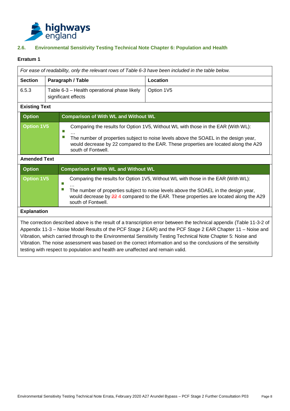

## <span id="page-9-0"></span>**2.6. Environmental Sensitivity Testing Technical Note Chapter 6: Population and Health**

|                      |  | For ease of readability, only the relevant rows of Table 6-3 have been included in the table below. |                                                                                                                                                                                                                                                                                                                                                                                                                                                                        |  |  |  |
|----------------------|--|-----------------------------------------------------------------------------------------------------|------------------------------------------------------------------------------------------------------------------------------------------------------------------------------------------------------------------------------------------------------------------------------------------------------------------------------------------------------------------------------------------------------------------------------------------------------------------------|--|--|--|
| <b>Section</b>       |  | Paragraph / Table                                                                                   | Location                                                                                                                                                                                                                                                                                                                                                                                                                                                               |  |  |  |
| 6.5.3                |  | Table 6-3 - Health operational phase likely<br>significant effects                                  | Option 1V5                                                                                                                                                                                                                                                                                                                                                                                                                                                             |  |  |  |
| <b>Existing Text</b> |  |                                                                                                     |                                                                                                                                                                                                                                                                                                                                                                                                                                                                        |  |  |  |
| <b>Option</b>        |  | <b>Comparison of With WL and Without WL</b>                                                         |                                                                                                                                                                                                                                                                                                                                                                                                                                                                        |  |  |  |
| <b>Option 1V5</b>    |  | Π<br>П<br>south of Fontwell.                                                                        | Comparing the results for Option 1V5, Without WL with those in the EAR (With WL):<br>The number of properties subject to noise levels above the SOAEL in the design year,<br>would decrease by 22 compared to the EAR. These properties are located along the A29                                                                                                                                                                                                      |  |  |  |
| <b>Amended Text</b>  |  |                                                                                                     |                                                                                                                                                                                                                                                                                                                                                                                                                                                                        |  |  |  |
| <b>Option</b>        |  | <b>Comparison of With WL and Without WL</b>                                                         |                                                                                                                                                                                                                                                                                                                                                                                                                                                                        |  |  |  |
| <b>Option 1V5</b>    |  | П<br>П<br>south of Fontwell.                                                                        | Comparing the results for Option 1V5, Without WL with those in the EAR (With WL):<br>The number of properties subject to noise levels above the SOAEL in the design year,<br>would decrease by 22 4 compared to the EAR. These properties are located along the A29                                                                                                                                                                                                    |  |  |  |
| <b>Explanation</b>   |  |                                                                                                     |                                                                                                                                                                                                                                                                                                                                                                                                                                                                        |  |  |  |
|                      |  | testing with respect to population and health are unaffected and remain valid.                      | The correction described above is the result of a transcription error between the technical appendix (Table 11-3-2 of<br>Appendix 11-3 – Noise Model Results of the PCF Stage 2 EAR) and the PCF Stage 2 EAR Chapter 11 – Noise and<br>Vibration, which carried through to the Environmental Sensitivity Testing Technical Note Chapter 5: Noise and<br>Vibration. The noise assessment was based on the correct information and so the conclusions of the sensitivity |  |  |  |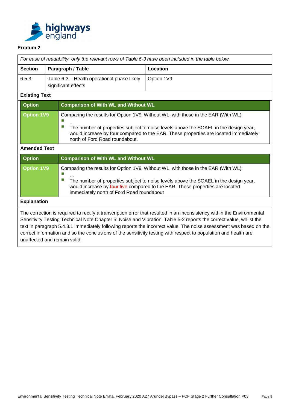

|                      |  | For ease of readability, only the relevant rows of Table 6-3 have been included in the table below.                                                                                                                                                                                                       |                                                                                                                                                                                                                                                             |  |  |  |
|----------------------|--|-----------------------------------------------------------------------------------------------------------------------------------------------------------------------------------------------------------------------------------------------------------------------------------------------------------|-------------------------------------------------------------------------------------------------------------------------------------------------------------------------------------------------------------------------------------------------------------|--|--|--|
| <b>Section</b>       |  | Paragraph / Table                                                                                                                                                                                                                                                                                         | Location                                                                                                                                                                                                                                                    |  |  |  |
| 6.5.3                |  | Table 6-3 - Health operational phase likely<br>significant effects                                                                                                                                                                                                                                        | Option 1V9                                                                                                                                                                                                                                                  |  |  |  |
| <b>Existing Text</b> |  |                                                                                                                                                                                                                                                                                                           |                                                                                                                                                                                                                                                             |  |  |  |
| <b>Option</b>        |  | <b>Comparison of With WL and Without WL</b>                                                                                                                                                                                                                                                               |                                                                                                                                                                                                                                                             |  |  |  |
| <b>Option 1V9</b>    |  | Comparing the results for Option 1V9, Without WL, with those in the EAR (With WL):<br>Ξ<br>The number of properties subject to noise levels above the SOAEL in the design year,<br>would increase by four compared to the EAR. These properties are located immediately<br>north of Ford Road roundabout. |                                                                                                                                                                                                                                                             |  |  |  |
| <b>Amended Text</b>  |  |                                                                                                                                                                                                                                                                                                           |                                                                                                                                                                                                                                                             |  |  |  |
| <b>Option</b>        |  |                                                                                                                                                                                                                                                                                                           |                                                                                                                                                                                                                                                             |  |  |  |
|                      |  | <b>Comparison of With WL and Without WL</b>                                                                                                                                                                                                                                                               |                                                                                                                                                                                                                                                             |  |  |  |
| <b>Option 1V9</b>    |  | П<br>ш<br>immediately north of Ford Road roundabout                                                                                                                                                                                                                                                       | Comparing the results for Option 1V9, Without WL, with those in the EAR (With WL):<br>The number of properties subject to noise levels above the SOAEL in the design year,<br>would increase by four five compared to the EAR. These properties are located |  |  |  |
| <b>Explanation</b>   |  |                                                                                                                                                                                                                                                                                                           |                                                                                                                                                                                                                                                             |  |  |  |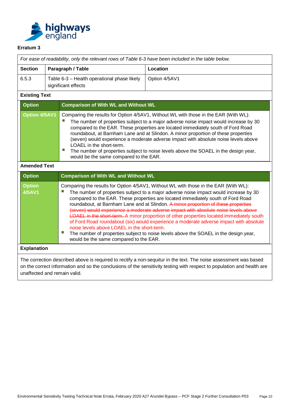

|                                      |  |                                                                                                                                                                                                                                                                                                                                                                                                                                                                                                                                                                                                                   | For ease of readability, only the relevant rows of Table 6-3 have been included in the table below.                                                                                                                                                                                                                                                                                                                                                                                                                                                                                                                                                                                                                                  |  |
|--------------------------------------|--|-------------------------------------------------------------------------------------------------------------------------------------------------------------------------------------------------------------------------------------------------------------------------------------------------------------------------------------------------------------------------------------------------------------------------------------------------------------------------------------------------------------------------------------------------------------------------------------------------------------------|--------------------------------------------------------------------------------------------------------------------------------------------------------------------------------------------------------------------------------------------------------------------------------------------------------------------------------------------------------------------------------------------------------------------------------------------------------------------------------------------------------------------------------------------------------------------------------------------------------------------------------------------------------------------------------------------------------------------------------------|--|
| <b>Section</b>                       |  | Paragraph / Table                                                                                                                                                                                                                                                                                                                                                                                                                                                                                                                                                                                                 | Location                                                                                                                                                                                                                                                                                                                                                                                                                                                                                                                                                                                                                                                                                                                             |  |
| 6.5.3                                |  | Table 6-3 - Health operational phase likely<br>significant effects                                                                                                                                                                                                                                                                                                                                                                                                                                                                                                                                                | Option 4/5AV1                                                                                                                                                                                                                                                                                                                                                                                                                                                                                                                                                                                                                                                                                                                        |  |
| <b>Existing Text</b>                 |  |                                                                                                                                                                                                                                                                                                                                                                                                                                                                                                                                                                                                                   |                                                                                                                                                                                                                                                                                                                                                                                                                                                                                                                                                                                                                                                                                                                                      |  |
| <b>Option</b>                        |  | <b>Comparison of With WL and Without WL</b>                                                                                                                                                                                                                                                                                                                                                                                                                                                                                                                                                                       |                                                                                                                                                                                                                                                                                                                                                                                                                                                                                                                                                                                                                                                                                                                                      |  |
| <b>Option 4/5AV1</b>                 |  | Comparing the results for Option 4/5AV1, Without WL with those in the EAR (With WL):<br>The number of properties subject to a major adverse noise impact would increase by 30<br>compared to the EAR. These properties are located immediately south of Ford Road<br>roundabout, at Barnham Lane and at Slindon. A minor proportion of these properties<br>(seven) would experience a moderate adverse impact with absolute noise levels above<br>LOAEL in the short-term.<br>Ш<br>The number of properties subject to noise levels above the SOAEL in the design year,<br>would be the same compared to the EAR. |                                                                                                                                                                                                                                                                                                                                                                                                                                                                                                                                                                                                                                                                                                                                      |  |
| <b>Amended Text</b>                  |  |                                                                                                                                                                                                                                                                                                                                                                                                                                                                                                                                                                                                                   |                                                                                                                                                                                                                                                                                                                                                                                                                                                                                                                                                                                                                                                                                                                                      |  |
| <b>Option</b>                        |  | <b>Comparison of With WL and Without WL</b>                                                                                                                                                                                                                                                                                                                                                                                                                                                                                                                                                                       |                                                                                                                                                                                                                                                                                                                                                                                                                                                                                                                                                                                                                                                                                                                                      |  |
| <b>Option</b><br><b>4/5AV1</b><br>T. |  | noise levels above LOAEL in the short-term.<br>would be the same compared to the EAR.                                                                                                                                                                                                                                                                                                                                                                                                                                                                                                                             | Comparing the results for Option 4/5AV1, Without WL with those in the EAR (With WL):<br>The number of properties subject to a major adverse noise impact would increase by 30<br>compared to the EAR. These properties are located immediately south of Ford Road<br>roundabout, at Barnham Lane and at Slindon. A minor proportion of these properties<br>(seven) would experience a moderate adverse impact with absolute noise levels above<br><b>LOAEL</b> in the short-term. A minor proportion of other properties located immediately south<br>of Ford Road roundabout (six) would experience a moderate adverse impact with absolute<br>The number of properties subject to noise levels above the SOAEL in the design year, |  |
| <b>Explanation</b>                   |  |                                                                                                                                                                                                                                                                                                                                                                                                                                                                                                                                                                                                                   |                                                                                                                                                                                                                                                                                                                                                                                                                                                                                                                                                                                                                                                                                                                                      |  |
|                                      |  |                                                                                                                                                                                                                                                                                                                                                                                                                                                                                                                                                                                                                   | The correction described above is required to rectify a non-sequitur in the text. The noise assessment was based                                                                                                                                                                                                                                                                                                                                                                                                                                                                                                                                                                                                                     |  |
|                                      |  |                                                                                                                                                                                                                                                                                                                                                                                                                                                                                                                                                                                                                   | on the correct information and so the conclusions of the sensitivity testing with respect to population and health are                                                                                                                                                                                                                                                                                                                                                                                                                                                                                                                                                                                                               |  |

unaffected and remain valid.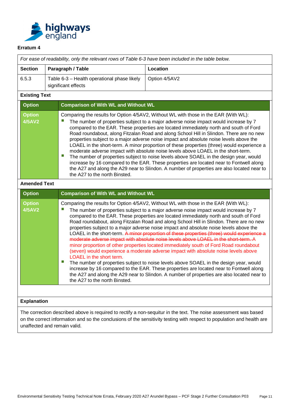

|                                                                                                                                                                                                                                                                                                                                                                                                                                                                                                                                                                                                                                                                                                                                                                                                                                                                                                                                                                                                                                                                                                                                                                                                                         |  | For ease of readability, only the relevant rows of Table 6-3 have been included in the table below.                                                                                                                                                                                                                                                                                                                                                                                                                                                                                                                                                                                                                                                                                                                                                                                                                                                                    |                                                                                                                  |  |  |
|-------------------------------------------------------------------------------------------------------------------------------------------------------------------------------------------------------------------------------------------------------------------------------------------------------------------------------------------------------------------------------------------------------------------------------------------------------------------------------------------------------------------------------------------------------------------------------------------------------------------------------------------------------------------------------------------------------------------------------------------------------------------------------------------------------------------------------------------------------------------------------------------------------------------------------------------------------------------------------------------------------------------------------------------------------------------------------------------------------------------------------------------------------------------------------------------------------------------------|--|------------------------------------------------------------------------------------------------------------------------------------------------------------------------------------------------------------------------------------------------------------------------------------------------------------------------------------------------------------------------------------------------------------------------------------------------------------------------------------------------------------------------------------------------------------------------------------------------------------------------------------------------------------------------------------------------------------------------------------------------------------------------------------------------------------------------------------------------------------------------------------------------------------------------------------------------------------------------|------------------------------------------------------------------------------------------------------------------|--|--|
| <b>Section</b>                                                                                                                                                                                                                                                                                                                                                                                                                                                                                                                                                                                                                                                                                                                                                                                                                                                                                                                                                                                                                                                                                                                                                                                                          |  | Paragraph / Table                                                                                                                                                                                                                                                                                                                                                                                                                                                                                                                                                                                                                                                                                                                                                                                                                                                                                                                                                      | Location                                                                                                         |  |  |
| 6.5.3                                                                                                                                                                                                                                                                                                                                                                                                                                                                                                                                                                                                                                                                                                                                                                                                                                                                                                                                                                                                                                                                                                                                                                                                                   |  | Table 6-3 - Health operational phase likely<br>significant effects                                                                                                                                                                                                                                                                                                                                                                                                                                                                                                                                                                                                                                                                                                                                                                                                                                                                                                     | Option 4/5AV2                                                                                                    |  |  |
| <b>Existing Text</b>                                                                                                                                                                                                                                                                                                                                                                                                                                                                                                                                                                                                                                                                                                                                                                                                                                                                                                                                                                                                                                                                                                                                                                                                    |  |                                                                                                                                                                                                                                                                                                                                                                                                                                                                                                                                                                                                                                                                                                                                                                                                                                                                                                                                                                        |                                                                                                                  |  |  |
| <b>Option</b>                                                                                                                                                                                                                                                                                                                                                                                                                                                                                                                                                                                                                                                                                                                                                                                                                                                                                                                                                                                                                                                                                                                                                                                                           |  | <b>Comparison of With WL and Without WL</b>                                                                                                                                                                                                                                                                                                                                                                                                                                                                                                                                                                                                                                                                                                                                                                                                                                                                                                                            |                                                                                                                  |  |  |
| <b>Option</b><br><b>4/5AV2</b>                                                                                                                                                                                                                                                                                                                                                                                                                                                                                                                                                                                                                                                                                                                                                                                                                                                                                                                                                                                                                                                                                                                                                                                          |  | Comparing the results for Option 4/5AV2, Without WL with those in the EAR (With WL):<br>The number of properties subject to a major adverse noise impact would increase by 7<br>compared to the EAR. These properties are located immediately north and south of Ford<br>Road roundabout, along Fitzalan Road and along School Hill in Slindon. There are no new<br>properties subject to a major adverse noise impact and absolute noise levels above the<br>LOAEL in the short-term. A minor proportion of these properties (three) would experience a<br>moderate adverse impact with absolute noise levels above LOAEL in the short-term.<br>ш<br>The number of properties subject to noise levels above SOAEL in the design year, would<br>increase by 16 compared to the EAR. These properties are located near to Fontwell along<br>the A27 and along the A29 near to Slindon. A number of properties are also located near to<br>the A27 to the north Binsted. |                                                                                                                  |  |  |
| <b>Amended Text</b>                                                                                                                                                                                                                                                                                                                                                                                                                                                                                                                                                                                                                                                                                                                                                                                                                                                                                                                                                                                                                                                                                                                                                                                                     |  |                                                                                                                                                                                                                                                                                                                                                                                                                                                                                                                                                                                                                                                                                                                                                                                                                                                                                                                                                                        |                                                                                                                  |  |  |
| <b>Option</b>                                                                                                                                                                                                                                                                                                                                                                                                                                                                                                                                                                                                                                                                                                                                                                                                                                                                                                                                                                                                                                                                                                                                                                                                           |  | <b>Comparison of With WL and Without WL</b>                                                                                                                                                                                                                                                                                                                                                                                                                                                                                                                                                                                                                                                                                                                                                                                                                                                                                                                            |                                                                                                                  |  |  |
| <b>Option</b><br>Comparing the results for Option 4/5AV2, Without WL with those in the EAR (With WL):<br><b>4/5AV2</b><br>The number of properties subject to a major adverse noise impact would increase by 7<br>compared to the EAR. These properties are located immediately north and south of Ford<br>Road roundabout, along Fitzalan Road and along School Hill in Slindon. There are no new<br>properties subject to a major adverse noise impact and absolute noise levels above the<br>LOAEL in the short-term. A minor proportion of these properties (three) would experience a<br>moderate adverse impact with absolute noise levels above LOAEL in the short-term. A<br>minor proportion of other properties located immediately south of Ford Road roundabout<br>(seven) would experience a moderate adverse impact with absolute noise levels above<br>LOAEL in the short term.<br>ш<br>The number of properties subject to noise levels above SOAEL in the design year, would<br>increase by 16 compared to the EAR. These properties are located near to Fontwell along<br>the A27 and along the A29 near to Slindon. A number of properties are also located near to<br>the A27 to the north Binsted. |  |                                                                                                                                                                                                                                                                                                                                                                                                                                                                                                                                                                                                                                                                                                                                                                                                                                                                                                                                                                        |                                                                                                                  |  |  |
|                                                                                                                                                                                                                                                                                                                                                                                                                                                                                                                                                                                                                                                                                                                                                                                                                                                                                                                                                                                                                                                                                                                                                                                                                         |  |                                                                                                                                                                                                                                                                                                                                                                                                                                                                                                                                                                                                                                                                                                                                                                                                                                                                                                                                                                        |                                                                                                                  |  |  |
| <b>Explanation</b>                                                                                                                                                                                                                                                                                                                                                                                                                                                                                                                                                                                                                                                                                                                                                                                                                                                                                                                                                                                                                                                                                                                                                                                                      |  |                                                                                                                                                                                                                                                                                                                                                                                                                                                                                                                                                                                                                                                                                                                                                                                                                                                                                                                                                                        | The correction described above is required to rectify a non-sequitur in the text. The noise assessment was based |  |  |

on the correct information and so the conclusions of the sensitivity testing with respect to population and health are unaffected and remain valid.